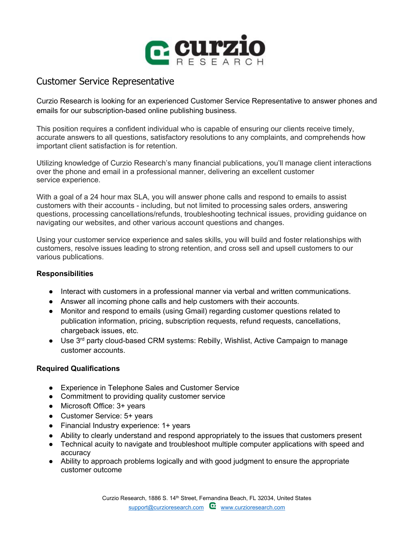

## Customer Service Representative

Curzio Research is looking for an experienced Customer Service Representative to answer phones and emails for our subscription-based online publishing business.

This position requires a confident individual who is capable of ensuring our clients receive timely, accurate answers to all questions, satisfactory resolutions to any complaints, and comprehends how important client satisfaction is for retention.

Utilizing knowledge of Curzio Research's many financial publications, you'll manage client interactions over the phone and email in a professional manner, delivering an excellent customer service experience.

With a goal of a 24 hour max SLA, you will answer phone calls and respond to emails to assist customers with their accounts - including, but not limited to processing sales orders, answering questions, processing cancellations/refunds, troubleshooting technical issues, providing guidance on navigating our websites, and other various account questions and changes.

Using your customer service experience and sales skills, you will build and foster relationships with customers, resolve issues leading to strong retention, and cross sell and upsell customers to our various publications.

## **Responsibilities**

- Interact with customers in a professional manner via verbal and written communications.
- Answer all incoming phone calls and help customers with their accounts.
- Monitor and respond to emails (using Gmail) regarding customer questions related to publication information, pricing, subscription requests, refund requests, cancellations, chargeback issues, etc.
- $\bullet$  Use 3<sup>rd</sup> party cloud-based CRM systems: Rebilly, Wishlist, Active Campaign to manage customer accounts.

## **Required Qualifications**

- Experience in Telephone Sales and Customer Service
- Commitment to providing quality customer service
- Microsoft Office: 3+ years
- Customer Service: 5+ years
- Financial Industry experience: 1+ years
- Ability to clearly understand and respond appropriately to the issues that customers present
- Technical acuity to navigate and troubleshoot multiple computer applications with speed and accuracy
- Ability to approach problems logically and with good judgment to ensure the appropriate customer outcome